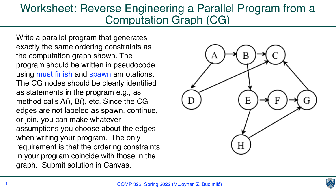COMP 322, Spring 2022 (M.Joyner, Z. Budimlić)



**CENTER** 

## Worksheet: Reverse Engineering a Parallel Program from a Computation Graph (CG)

Write a parallel program that generates exactly the same ordering constraints as the computation graph shown. The program should be written in pseudocode using must finish and spawn annotations. The CG nodes should be clearly identified as statements in the program e.g., as method calls A(), B(), etc. Since the CG edges are not labeled as spawn, continue, or join, you can make whatever assumptions you choose about the edges when writing your program. The only requirement is that the ordering constraints in your program coincide with those in the graph. Submit solution in Canvas.